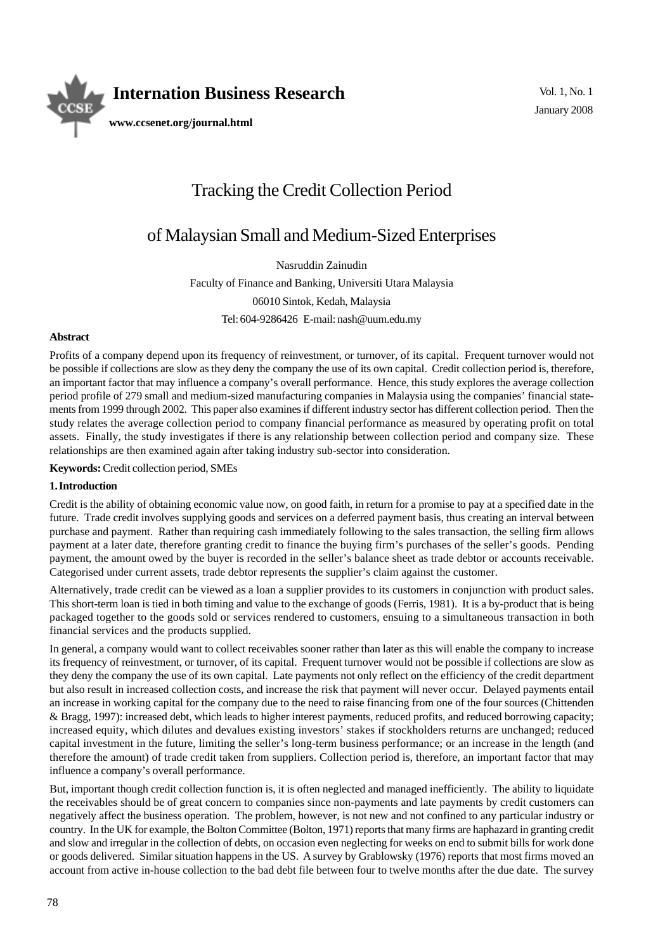

# Tracking the Credit Collection Period

## of Malaysian Small and Medium-Sized Enterprises

Nasruddin Zainudin Faculty of Finance and Banking, Universiti Utara Malaysia 06010 Sintok, Kedah, Malaysia Tel: 604-9286426 E-mail: nash@uum.edu.my

## **Abstract**

Profits of a company depend upon its frequency of reinvestment, or turnover, of its capital. Frequent turnover would not be possible if collections are slow as they deny the company the use of its own capital. Credit collection period is, therefore, an important factor that may influence a company's overall performance. Hence, this study explores the average collection period profile of 279 small and medium-sized manufacturing companies in Malaysia using the companies' financial statements from 1999 through 2002. This paper also examines if different industry sector has different collection period. Then the study relates the average collection period to company financial performance as measured by operating profit on total assets. Finally, the study investigates if there is any relationship between collection period and company size. These relationships are then examined again after taking industry sub-sector into consideration.

**Keywords:** Credit collection period, SMEs

## **1. Introduction**

Credit is the ability of obtaining economic value now, on good faith, in return for a promise to pay at a specified date in the future. Trade credit involves supplying goods and services on a deferred payment basis, thus creating an interval between purchase and payment. Rather than requiring cash immediately following to the sales transaction, the selling firm allows payment at a later date, therefore granting credit to finance the buying firm's purchases of the seller's goods. Pending payment, the amount owed by the buyer is recorded in the seller's balance sheet as trade debtor or accounts receivable. Categorised under current assets, trade debtor represents the supplier's claim against the customer.

Alternatively, trade credit can be viewed as a loan a supplier provides to its customers in conjunction with product sales. This short-term loan is tied in both timing and value to the exchange of goods (Ferris, 1981). It is a by-product that is being packaged together to the goods sold or services rendered to customers, ensuing to a simultaneous transaction in both financial services and the products supplied.

In general, a company would want to collect receivables sooner rather than later as this will enable the company to increase its frequency of reinvestment, or turnover, of its capital. Frequent turnover would not be possible if collections are slow as they deny the company the use of its own capital. Late payments not only reflect on the efficiency of the credit department but also result in increased collection costs, and increase the risk that payment will never occur. Delayed payments entail an increase in working capital for the company due to the need to raise financing from one of the four sources (Chittenden & Bragg, 1997): increased debt, which leads to higher interest payments, reduced profits, and reduced borrowing capacity; increased equity, which dilutes and devalues existing investors' stakes if stockholders returns are unchanged; reduced capital investment in the future, limiting the seller's long-term business performance; or an increase in the length (and therefore the amount) of trade credit taken from suppliers. Collection period is, therefore, an important factor that may influence a company's overall performance.

But, important though credit collection function is, it is often neglected and managed inefficiently. The ability to liquidate the receivables should be of great concern to companies since non-payments and late payments by credit customers can negatively affect the business operation. The problem, however, is not new and not confined to any particular industry or country. In the UK for example, the Bolton Committee (Bolton, 1971) reports that many firms are haphazard in granting credit and slow and irregular in the collection of debts, on occasion even neglecting for weeks on end to submit bills for work done or goods delivered. Similar situation happens in the US. A survey by Grablowsky (1976) reports that most firms moved an account from active in-house collection to the bad debt file between four to twelve months after the due date. The survey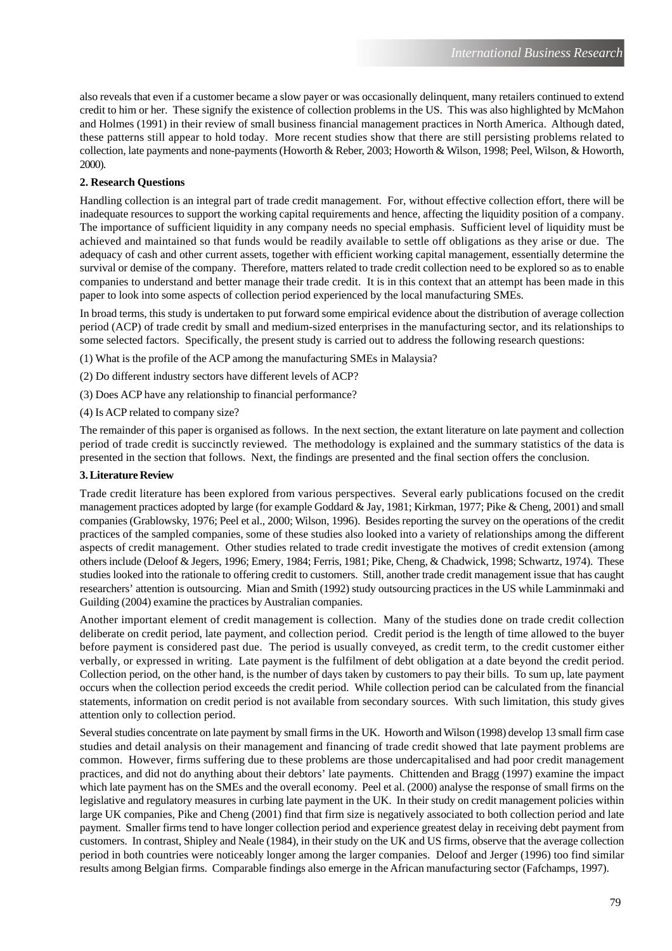also reveals that even if a customer became a slow payer or was occasionally delinquent, many retailers continued to extend credit to him or her. These signify the existence of collection problems in the US. This was also highlighted by McMahon and Holmes (1991) in their review of small business financial management practices in North America. Although dated, these patterns still appear to hold today. More recent studies show that there are still persisting problems related to collection, late payments and none-payments (Howorth & Reber, 2003; Howorth & Wilson, 1998; Peel, Wilson, & Howorth, 2000).

## **2. Research Questions**

Handling collection is an integral part of trade credit management. For, without effective collection effort, there will be inadequate resources to support the working capital requirements and hence, affecting the liquidity position of a company. The importance of sufficient liquidity in any company needs no special emphasis. Sufficient level of liquidity must be achieved and maintained so that funds would be readily available to settle off obligations as they arise or due. The adequacy of cash and other current assets, together with efficient working capital management, essentially determine the survival or demise of the company. Therefore, matters related to trade credit collection need to be explored so as to enable companies to understand and better manage their trade credit. It is in this context that an attempt has been made in this paper to look into some aspects of collection period experienced by the local manufacturing SMEs.

In broad terms, this study is undertaken to put forward some empirical evidence about the distribution of average collection period (ACP) of trade credit by small and medium-sized enterprises in the manufacturing sector, and its relationships to some selected factors. Specifically, the present study is carried out to address the following research questions:

(1) What is the profile of the ACP among the manufacturing SMEs in Malaysia?

(2) Do different industry sectors have different levels of ACP?

- (3) Does ACP have any relationship to financial performance?
- (4) Is ACP related to company size?

The remainder of this paper is organised as follows. In the next section, the extant literature on late payment and collection period of trade credit is succinctly reviewed. The methodology is explained and the summary statistics of the data is presented in the section that follows. Next, the findings are presented and the final section offers the conclusion.

## **3. Literature Review**

Trade credit literature has been explored from various perspectives. Several early publications focused on the credit management practices adopted by large (for example Goddard & Jay, 1981; Kirkman, 1977; Pike & Cheng, 2001) and small companies (Grablowsky, 1976; Peel et al., 2000; Wilson, 1996). Besides reporting the survey on the operations of the credit practices of the sampled companies, some of these studies also looked into a variety of relationships among the different aspects of credit management. Other studies related to trade credit investigate the motives of credit extension (among others include (Deloof & Jegers, 1996; Emery, 1984; Ferris, 1981; Pike, Cheng, & Chadwick, 1998; Schwartz, 1974). These studies looked into the rationale to offering credit to customers. Still, another trade credit management issue that has caught researchers' attention is outsourcing. Mian and Smith (1992) study outsourcing practices in the US while Lamminmaki and Guilding (2004) examine the practices by Australian companies.

Another important element of credit management is collection. Many of the studies done on trade credit collection deliberate on credit period, late payment, and collection period. Credit period is the length of time allowed to the buyer before payment is considered past due. The period is usually conveyed, as credit term, to the credit customer either verbally, or expressed in writing. Late payment is the fulfilment of debt obligation at a date beyond the credit period. Collection period, on the other hand, is the number of days taken by customers to pay their bills. To sum up, late payment occurs when the collection period exceeds the credit period. While collection period can be calculated from the financial statements, information on credit period is not available from secondary sources. With such limitation, this study gives attention only to collection period.

Several studies concentrate on late payment by small firms in the UK. Howorth and Wilson (1998) develop 13 small firm case studies and detail analysis on their management and financing of trade credit showed that late payment problems are common. However, firms suffering due to these problems are those undercapitalised and had poor credit management practices, and did not do anything about their debtors' late payments. Chittenden and Bragg (1997) examine the impact which late payment has on the SMEs and the overall economy. Peel et al. (2000) analyse the response of small firms on the legislative and regulatory measures in curbing late payment in the UK. In their study on credit management policies within large UK companies, Pike and Cheng (2001) find that firm size is negatively associated to both collection period and late payment. Smaller firms tend to have longer collection period and experience greatest delay in receiving debt payment from customers. In contrast, Shipley and Neale (1984), in their study on the UK and US firms, observe that the average collection period in both countries were noticeably longer among the larger companies. Deloof and Jerger (1996) too find similar results among Belgian firms. Comparable findings also emerge in the African manufacturing sector (Fafchamps, 1997).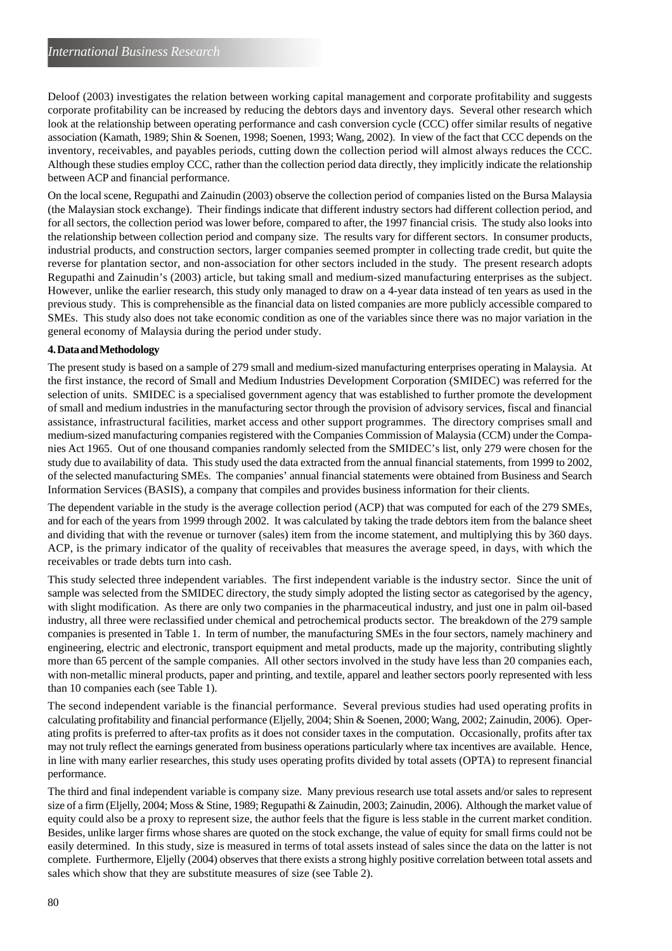Deloof (2003) investigates the relation between working capital management and corporate profitability and suggests corporate profitability can be increased by reducing the debtors days and inventory days. Several other research which look at the relationship between operating performance and cash conversion cycle (CCC) offer similar results of negative association (Kamath, 1989; Shin & Soenen, 1998; Soenen, 1993; Wang, 2002). In view of the fact that CCC depends on the inventory, receivables, and payables periods, cutting down the collection period will almost always reduces the CCC. Although these studies employ CCC, rather than the collection period data directly, they implicitly indicate the relationship between ACP and financial performance.

On the local scene, Regupathi and Zainudin (2003) observe the collection period of companies listed on the Bursa Malaysia (the Malaysian stock exchange). Their findings indicate that different industry sectors had different collection period, and for all sectors, the collection period was lower before, compared to after, the 1997 financial crisis. The study also looks into the relationship between collection period and company size. The results vary for different sectors. In consumer products, industrial products, and construction sectors, larger companies seemed prompter in collecting trade credit, but quite the reverse for plantation sector, and non-association for other sectors included in the study. The present research adopts Regupathi and Zainudin's (2003) article, but taking small and medium-sized manufacturing enterprises as the subject. However, unlike the earlier research, this study only managed to draw on a 4-year data instead of ten years as used in the previous study. This is comprehensible as the financial data on listed companies are more publicly accessible compared to SMEs. This study also does not take economic condition as one of the variables since there was no major variation in the general economy of Malaysia during the period under study.

#### **4. Data and Methodology**

The present study is based on a sample of 279 small and medium-sized manufacturing enterprises operating in Malaysia. At the first instance, the record of Small and Medium Industries Development Corporation (SMIDEC) was referred for the selection of units. SMIDEC is a specialised government agency that was established to further promote the development of small and medium industries in the manufacturing sector through the provision of advisory services, fiscal and financial assistance, infrastructural facilities, market access and other support programmes. The directory comprises small and medium-sized manufacturing companies registered with the Companies Commission of Malaysia (CCM) under the Companies Act 1965. Out of one thousand companies randomly selected from the SMIDEC's list, only 279 were chosen for the study due to availability of data. This study used the data extracted from the annual financial statements, from 1999 to 2002, of the selected manufacturing SMEs. The companies' annual financial statements were obtained from Business and Search Information Services (BASIS), a company that compiles and provides business information for their clients.

The dependent variable in the study is the average collection period (ACP) that was computed for each of the 279 SMEs, and for each of the years from 1999 through 2002. It was calculated by taking the trade debtors item from the balance sheet and dividing that with the revenue or turnover (sales) item from the income statement, and multiplying this by 360 days. ACP, is the primary indicator of the quality of receivables that measures the average speed, in days, with which the receivables or trade debts turn into cash.

This study selected three independent variables. The first independent variable is the industry sector. Since the unit of sample was selected from the SMIDEC directory, the study simply adopted the listing sector as categorised by the agency, with slight modification. As there are only two companies in the pharmaceutical industry, and just one in palm oil-based industry, all three were reclassified under chemical and petrochemical products sector. The breakdown of the 279 sample companies is presented in Table 1. In term of number, the manufacturing SMEs in the four sectors, namely machinery and engineering, electric and electronic, transport equipment and metal products, made up the majority, contributing slightly more than 65 percent of the sample companies. All other sectors involved in the study have less than 20 companies each, with non-metallic mineral products, paper and printing, and textile, apparel and leather sectors poorly represented with less than 10 companies each (see Table 1).

The second independent variable is the financial performance. Several previous studies had used operating profits in calculating profitability and financial performance (Eljelly, 2004; Shin & Soenen, 2000; Wang, 2002; Zainudin, 2006). Operating profits is preferred to after-tax profits as it does not consider taxes in the computation. Occasionally, profits after tax may not truly reflect the earnings generated from business operations particularly where tax incentives are available. Hence, in line with many earlier researches, this study uses operating profits divided by total assets (OPTA) to represent financial performance.

The third and final independent variable is company size. Many previous research use total assets and/or sales to represent size of a firm (Eljelly, 2004; Moss & Stine, 1989; Regupathi & Zainudin, 2003; Zainudin, 2006). Although the market value of equity could also be a proxy to represent size, the author feels that the figure is less stable in the current market condition. Besides, unlike larger firms whose shares are quoted on the stock exchange, the value of equity for small firms could not be easily determined. In this study, size is measured in terms of total assets instead of sales since the data on the latter is not complete. Furthermore, Eljelly (2004) observes that there exists a strong highly positive correlation between total assets and sales which show that they are substitute measures of size (see Table 2).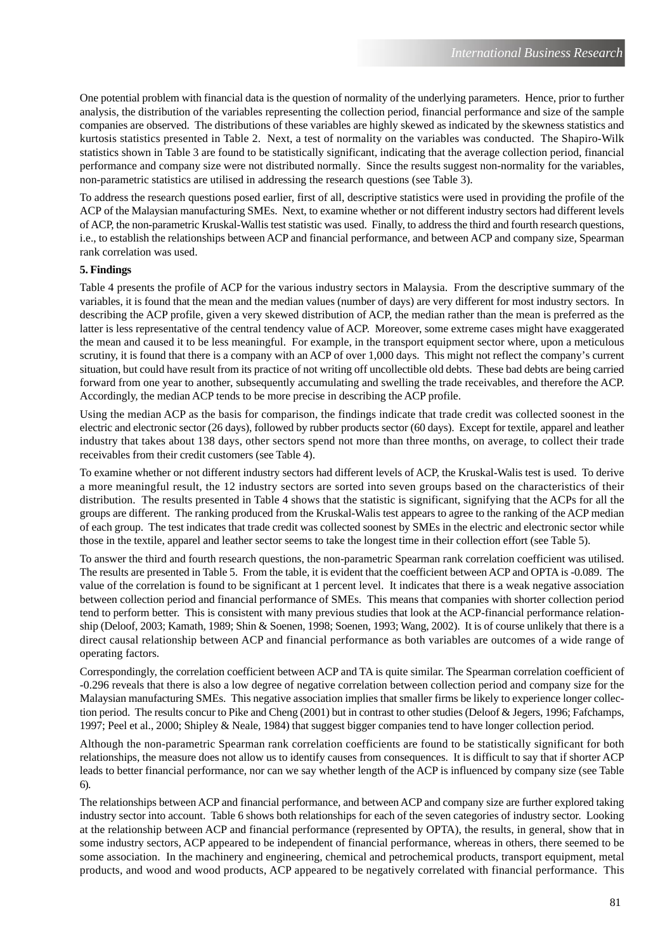One potential problem with financial data is the question of normality of the underlying parameters. Hence, prior to further analysis, the distribution of the variables representing the collection period, financial performance and size of the sample companies are observed. The distributions of these variables are highly skewed as indicated by the skewness statistics and kurtosis statistics presented in Table 2. Next, a test of normality on the variables was conducted. The Shapiro-Wilk statistics shown in Table 3 are found to be statistically significant, indicating that the average collection period, financial performance and company size were not distributed normally. Since the results suggest non-normality for the variables, non-parametric statistics are utilised in addressing the research questions (see Table 3).

To address the research questions posed earlier, first of all, descriptive statistics were used in providing the profile of the ACP of the Malaysian manufacturing SMEs. Next, to examine whether or not different industry sectors had different levels of ACP, the non-parametric Kruskal-Wallis test statistic was used. Finally, to address the third and fourth research questions, i.e., to establish the relationships between ACP and financial performance, and between ACP and company size, Spearman rank correlation was used.

#### **5. Findings**

Table 4 presents the profile of ACP for the various industry sectors in Malaysia. From the descriptive summary of the variables, it is found that the mean and the median values (number of days) are very different for most industry sectors. In describing the ACP profile, given a very skewed distribution of ACP, the median rather than the mean is preferred as the latter is less representative of the central tendency value of ACP. Moreover, some extreme cases might have exaggerated the mean and caused it to be less meaningful. For example, in the transport equipment sector where, upon a meticulous scrutiny, it is found that there is a company with an ACP of over 1,000 days. This might not reflect the company's current situation, but could have result from its practice of not writing off uncollectible old debts. These bad debts are being carried forward from one year to another, subsequently accumulating and swelling the trade receivables, and therefore the ACP. Accordingly, the median ACP tends to be more precise in describing the ACP profile.

Using the median ACP as the basis for comparison, the findings indicate that trade credit was collected soonest in the electric and electronic sector (26 days), followed by rubber products sector (60 days). Except for textile, apparel and leather industry that takes about 138 days, other sectors spend not more than three months, on average, to collect their trade receivables from their credit customers (see Table 4).

To examine whether or not different industry sectors had different levels of ACP, the Kruskal-Walis test is used. To derive a more meaningful result, the 12 industry sectors are sorted into seven groups based on the characteristics of their distribution. The results presented in Table 4 shows that the statistic is significant, signifying that the ACPs for all the groups are different. The ranking produced from the Kruskal-Walis test appears to agree to the ranking of the ACP median of each group. The test indicates that trade credit was collected soonest by SMEs in the electric and electronic sector while those in the textile, apparel and leather sector seems to take the longest time in their collection effort (see Table 5).

To answer the third and fourth research questions, the non-parametric Spearman rank correlation coefficient was utilised. The results are presented in Table 5. From the table, it is evident that the coefficient between ACP and OPTA is -0.089. The value of the correlation is found to be significant at 1 percent level. It indicates that there is a weak negative association between collection period and financial performance of SMEs. This means that companies with shorter collection period tend to perform better. This is consistent with many previous studies that look at the ACP-financial performance relationship (Deloof, 2003; Kamath, 1989; Shin & Soenen, 1998; Soenen, 1993; Wang, 2002). It is of course unlikely that there is a direct causal relationship between ACP and financial performance as both variables are outcomes of a wide range of operating factors.

Correspondingly, the correlation coefficient between ACP and TA is quite similar. The Spearman correlation coefficient of -0.296 reveals that there is also a low degree of negative correlation between collection period and company size for the Malaysian manufacturing SMEs. This negative association implies that smaller firms be likely to experience longer collection period. The results concur to Pike and Cheng (2001) but in contrast to other studies (Deloof & Jegers, 1996; Fafchamps, 1997; Peel et al., 2000; Shipley & Neale, 1984) that suggest bigger companies tend to have longer collection period.

Although the non-parametric Spearman rank correlation coefficients are found to be statistically significant for both relationships, the measure does not allow us to identify causes from consequences. It is difficult to say that if shorter ACP leads to better financial performance, nor can we say whether length of the ACP is influenced by company size (see Table 6).

The relationships between ACP and financial performance, and between ACP and company size are further explored taking industry sector into account. Table 6 shows both relationships for each of the seven categories of industry sector. Looking at the relationship between ACP and financial performance (represented by OPTA), the results, in general, show that in some industry sectors, ACP appeared to be independent of financial performance, whereas in others, there seemed to be some association. In the machinery and engineering, chemical and petrochemical products, transport equipment, metal products, and wood and wood products, ACP appeared to be negatively correlated with financial performance. This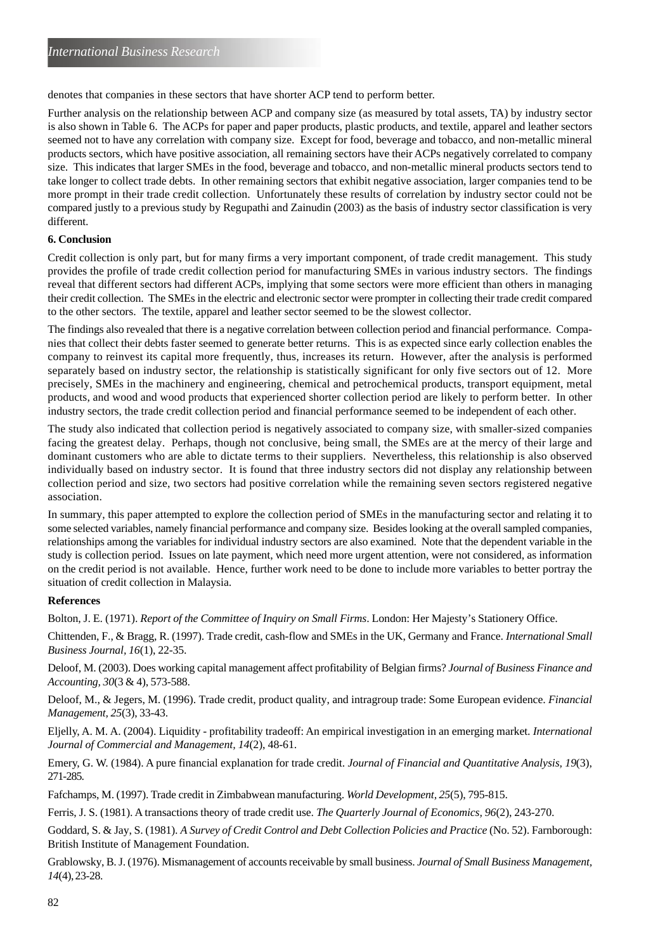denotes that companies in these sectors that have shorter ACP tend to perform better.

Further analysis on the relationship between ACP and company size (as measured by total assets, TA) by industry sector is also shown in Table 6. The ACPs for paper and paper products, plastic products, and textile, apparel and leather sectors seemed not to have any correlation with company size. Except for food, beverage and tobacco, and non-metallic mineral products sectors, which have positive association, all remaining sectors have their ACPs negatively correlated to company size. This indicates that larger SMEs in the food, beverage and tobacco, and non-metallic mineral products sectors tend to take longer to collect trade debts. In other remaining sectors that exhibit negative association, larger companies tend to be more prompt in their trade credit collection. Unfortunately these results of correlation by industry sector could not be compared justly to a previous study by Regupathi and Zainudin (2003) as the basis of industry sector classification is very different.

## **6. Conclusion**

Credit collection is only part, but for many firms a very important component, of trade credit management. This study provides the profile of trade credit collection period for manufacturing SMEs in various industry sectors. The findings reveal that different sectors had different ACPs, implying that some sectors were more efficient than others in managing their credit collection. The SMEs in the electric and electronic sector were prompter in collecting their trade credit compared to the other sectors. The textile, apparel and leather sector seemed to be the slowest collector.

The findings also revealed that there is a negative correlation between collection period and financial performance. Companies that collect their debts faster seemed to generate better returns. This is as expected since early collection enables the company to reinvest its capital more frequently, thus, increases its return. However, after the analysis is performed separately based on industry sector, the relationship is statistically significant for only five sectors out of 12. More precisely, SMEs in the machinery and engineering, chemical and petrochemical products, transport equipment, metal products, and wood and wood products that experienced shorter collection period are likely to perform better. In other industry sectors, the trade credit collection period and financial performance seemed to be independent of each other.

The study also indicated that collection period is negatively associated to company size, with smaller-sized companies facing the greatest delay. Perhaps, though not conclusive, being small, the SMEs are at the mercy of their large and dominant customers who are able to dictate terms to their suppliers. Nevertheless, this relationship is also observed individually based on industry sector. It is found that three industry sectors did not display any relationship between collection period and size, two sectors had positive correlation while the remaining seven sectors registered negative association.

In summary, this paper attempted to explore the collection period of SMEs in the manufacturing sector and relating it to some selected variables, namely financial performance and company size. Besides looking at the overall sampled companies, relationships among the variables for individual industry sectors are also examined. Note that the dependent variable in the study is collection period. Issues on late payment, which need more urgent attention, were not considered, as information on the credit period is not available. Hence, further work need to be done to include more variables to better portray the situation of credit collection in Malaysia.

#### **References**

Bolton, J. E. (1971). *Report of the Committee of Inquiry on Small Firms*. London: Her Majesty's Stationery Office.

Chittenden, F., & Bragg, R. (1997). Trade credit, cash-flow and SMEs in the UK, Germany and France. *International Small Business Journal, 16*(1), 22-35.

Deloof, M. (2003). Does working capital management affect profitability of Belgian firms? *Journal of Business Finance and Accounting, 30*(3 & 4), 573-588.

Deloof, M., & Jegers, M. (1996). Trade credit, product quality, and intragroup trade: Some European evidence. *Financial Management, 25*(3), 33-43.

Eljelly, A. M. A. (2004). Liquidity - profitability tradeoff: An empirical investigation in an emerging market. *International Journal of Commercial and Management, 14*(2), 48-61.

Emery, G. W. (1984). A pure financial explanation for trade credit. *Journal of Financial and Quantitative Analysis, 19*(3), 271-285.

Fafchamps, M. (1997). Trade credit in Zimbabwean manufacturing. *World Development, 25*(5), 795-815.

Ferris, J. S. (1981). A transactions theory of trade credit use. *The Quarterly Journal of Economics, 96*(2), 243-270.

Goddard, S. & Jay, S. (1981). *A Survey of Credit Control and Debt Collection Policies and Practice* (No. 52). Farnborough: British Institute of Management Foundation.

Grablowsky, B. J. (1976). Mismanagement of accounts receivable by small business. *Journal of Small Business Management, 14*(4), 23-28.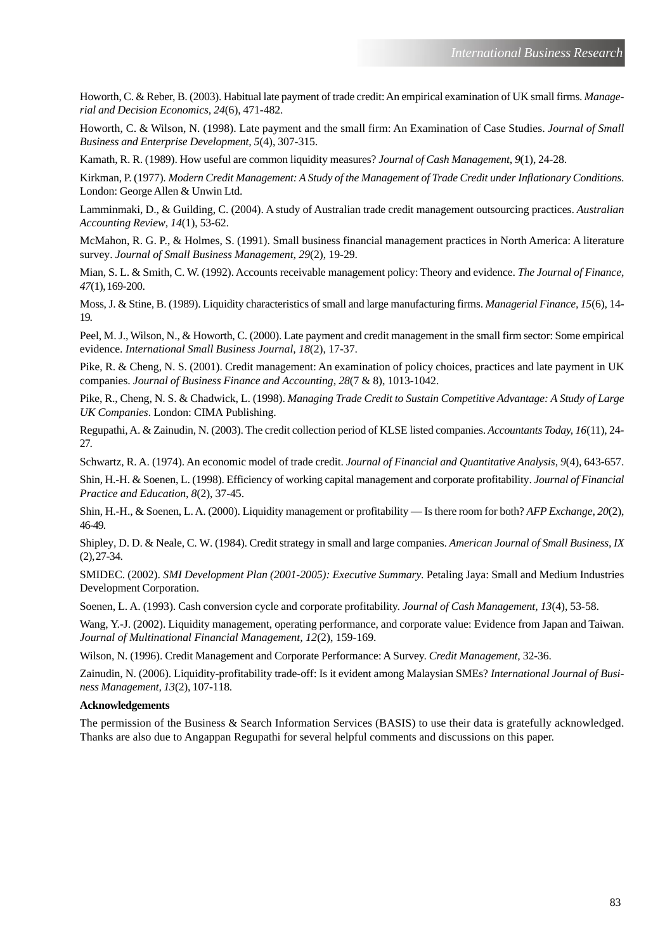Howorth, C. & Reber, B. (2003). Habitual late payment of trade credit: An empirical examination of UK small firms. *Managerial and Decision Economics, 24*(6), 471-482.

Howorth, C. & Wilson, N. (1998). Late payment and the small firm: An Examination of Case Studies. *Journal of Small Business and Enterprise Development, 5*(4), 307-315.

Kamath, R. R. (1989). How useful are common liquidity measures? *Journal of Cash Management, 9*(1), 24-28.

Kirkman, P. (1977). *Modern Credit Management: A Study of the Management of Trade Credit under Inflationary Conditions*. London: George Allen & Unwin Ltd.

Lamminmaki, D., & Guilding, C. (2004). A study of Australian trade credit management outsourcing practices. *Australian Accounting Review, 14*(1), 53-62.

McMahon, R. G. P., & Holmes, S. (1991). Small business financial management practices in North America: A literature survey. *Journal of Small Business Management, 29*(2), 19-29.

Mian, S. L. & Smith, C. W. (1992). Accounts receivable management policy: Theory and evidence. *The Journal of Finance, 47*(1), 169-200.

Moss, J. & Stine, B. (1989). Liquidity characteristics of small and large manufacturing firms. *Managerial Finance, 15*(6), 14- 19.

Peel, M. J., Wilson, N., & Howorth, C. (2000). Late payment and credit management in the small firm sector: Some empirical evidence. *International Small Business Journal, 18*(2), 17-37.

Pike, R. & Cheng, N. S. (2001). Credit management: An examination of policy choices, practices and late payment in UK companies. *Journal of Business Finance and Accounting, 28*(7 & 8), 1013-1042.

Pike, R., Cheng, N. S. & Chadwick, L. (1998). *Managing Trade Credit to Sustain Competitive Advantage: A Study of Large UK Companies*. London: CIMA Publishing.

Regupathi, A. & Zainudin, N. (2003). The credit collection period of KLSE listed companies. *Accountants Today, 16*(11), 24- 27.

Schwartz, R. A. (1974). An economic model of trade credit. *Journal of Financial and Quantitative Analysis, 9*(4), 643-657.

Shin, H.-H. & Soenen, L. (1998). Efficiency of working capital management and corporate profitability. *Journal of Financial Practice and Education, 8*(2), 37-45.

Shin, H.-H., & Soenen, L. A. (2000). Liquidity management or profitability — Is there room for both? *AFP Exchange, 20*(2), 46-49.

Shipley, D. D. & Neale, C. W. (1984). Credit strategy in small and large companies. *American Journal of Small Business, IX*  $(2), 27-34.$ 

SMIDEC. (2002). *SMI Development Plan (2001-2005): Executive Summary*. Petaling Jaya: Small and Medium Industries Development Corporation.

Soenen, L. A. (1993). Cash conversion cycle and corporate profitability. *Journal of Cash Management, 13*(4), 53-58.

Wang, Y.-J. (2002). Liquidity management, operating performance, and corporate value: Evidence from Japan and Taiwan. *Journal of Multinational Financial Management, 12*(2), 159-169.

Wilson, N. (1996). Credit Management and Corporate Performance: A Survey. *Credit Management,* 32-36.

Zainudin, N. (2006). Liquidity-profitability trade-off: Is it evident among Malaysian SMEs? *International Journal of Business Management, 13*(2), 107-118.

#### **Acknowledgements**

The permission of the Business & Search Information Services (BASIS) to use their data is gratefully acknowledged. Thanks are also due to Angappan Regupathi for several helpful comments and discussions on this paper.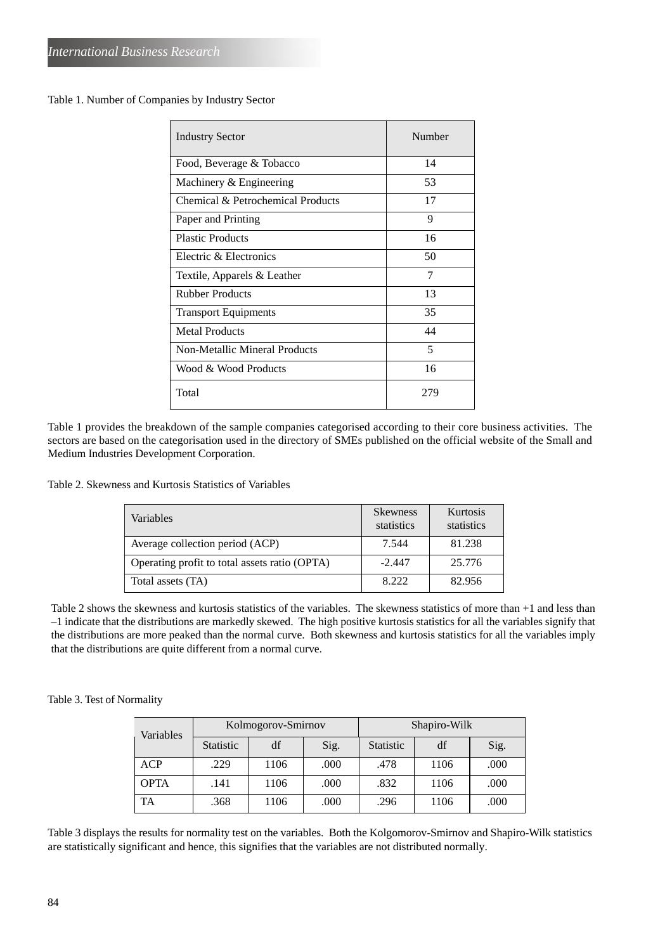Table 1. Number of Companies by Industry Sector

| <b>Industry Sector</b>            | Number |
|-----------------------------------|--------|
| Food, Beverage & Tobacco          | 14     |
| Machinery & Engineering           | 53     |
| Chemical & Petrochemical Products | 17     |
| Paper and Printing                | 9      |
| <b>Plastic Products</b>           | 16     |
| Electric & Electronics            | 50     |
| Textile, Apparels & Leather       | 7      |
| <b>Rubber Products</b>            | 13     |
| <b>Transport Equipments</b>       | 35     |
| <b>Metal Products</b>             | 44     |
| Non-Metallic Mineral Products     | 5      |
| Wood & Wood Products              | 16     |
| Total                             | 279    |

Table 1 provides the breakdown of the sample companies categorised according to their core business activities. The sectors are based on the categorisation used in the directory of SMEs published on the official website of the Small and Medium Industries Development Corporation.

Table 2. Skewness and Kurtosis Statistics of Variables

| Variables                                     | <b>Skewness</b><br>statistics | Kurtosis<br>statistics |
|-----------------------------------------------|-------------------------------|------------------------|
| Average collection period (ACP)               | 7.544                         | 81.238                 |
| Operating profit to total assets ratio (OPTA) | $-2.447$                      | 25.776                 |
| Total assets (TA)                             | 8.222                         | 82.956                 |

Table 2 shows the skewness and kurtosis statistics of the variables. The skewness statistics of more than +1 and less than –1 indicate that the distributions are markedly skewed. The high positive kurtosis statistics for all the variables signify that the distributions are more peaked than the normal curve. Both skewness and kurtosis statistics for all the variables imply that the distributions are quite different from a normal curve.

Table 3. Test of Normality

| Variables   | Kolmogorov-Smirnov |      |      | Shapiro-Wilk     |      |      |
|-------------|--------------------|------|------|------------------|------|------|
|             | <b>Statistic</b>   | df   | Sig. | <b>Statistic</b> | df   | Sig. |
| <b>ACP</b>  | .229               | 1106 | .000 | .478             | 1106 | .000 |
| <b>OPTA</b> | .141               | 1106 | .000 | .832             | 1106 | .000 |
| <b>TA</b>   | .368               | 1106 | .000 | .296             | 1106 | .000 |

Table 3 displays the results for normality test on the variables. Both the Kolgomorov-Smirnov and Shapiro-Wilk statistics are statistically significant and hence, this signifies that the variables are not distributed normally.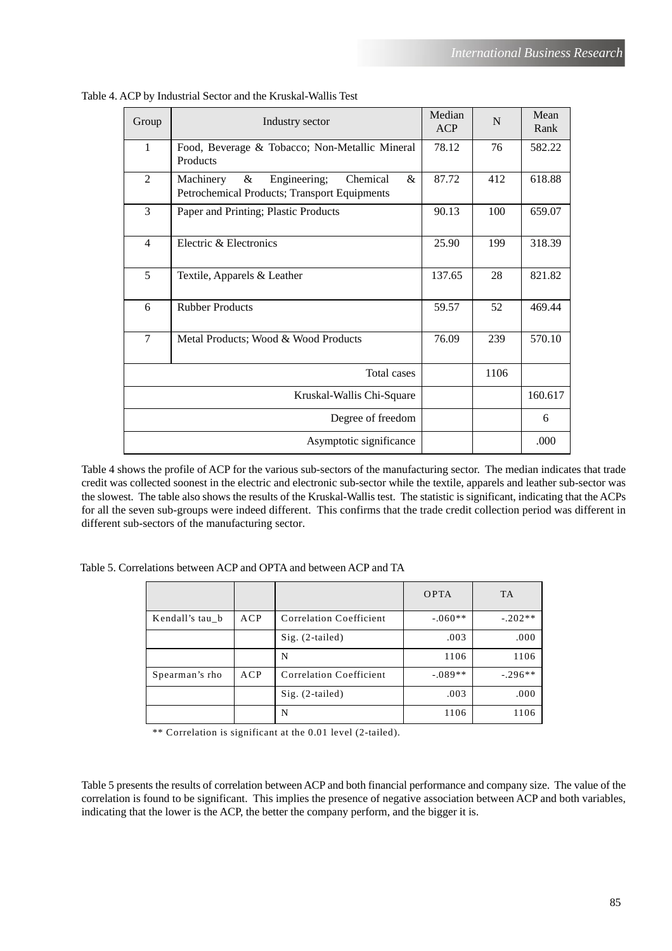| Group                     | Industry sector                                                                                    | Median<br><b>ACP</b> | $\mathbf N$ | Mean<br>Rank |
|---------------------------|----------------------------------------------------------------------------------------------------|----------------------|-------------|--------------|
| $\mathbf{1}$              | Food, Beverage & Tobacco; Non-Metallic Mineral<br>Products                                         | 78.12                | 76          | 582.22       |
| $\mathfrak{D}$            | Chemical<br>$\&$<br>Engineering;<br>&<br>Machinery<br>Petrochemical Products; Transport Equipments | 87.72                | 412         | 618.88       |
| 3                         | Paper and Printing; Plastic Products                                                               | 90.13                | 100         | 659.07       |
| 4                         | Electric & Electronics                                                                             | 25.90                | 199         | 318.39       |
| 5                         | Textile, Apparels & Leather                                                                        | 137.65               | 28          | 821.82       |
| 6                         | <b>Rubber Products</b>                                                                             | 59.57                | 52          | 469.44       |
| $\overline{7}$            | Metal Products; Wood & Wood Products                                                               | 76.09                | 239         | 570.10       |
|                           | Total cases                                                                                        |                      | 1106        |              |
| Kruskal-Wallis Chi-Square |                                                                                                    |                      |             | 160.617      |
|                           | Degree of freedom                                                                                  |                      |             | 6            |
|                           | Asymptotic significance                                                                            |                      |             | .000         |

Table 4. ACP by Industrial Sector and the Kruskal-Wallis Test

Table 4 shows the profile of ACP for the various sub-sectors of the manufacturing sector. The median indicates that trade credit was collected soonest in the electric and electronic sub-sector while the textile, apparels and leather sub-sector was the slowest. The table also shows the results of the Kruskal-Wallis test. The statistic is significant, indicating that the ACPs for all the seven sub-groups were indeed different. This confirms that the trade credit collection period was different in different sub-sectors of the manufacturing sector.

Table 5. Correlations between ACP and OPTA and between ACP and TA

|                 |     |                         | OPTA      | <b>TA</b> |
|-----------------|-----|-------------------------|-----------|-----------|
| Kendall's tau b | ACP | Correlation Coefficient | $-.060**$ | $-.202**$ |
|                 |     | $Sig. (2-tailed)$       | .003      | .000      |
|                 |     | N                       | 1106      | 1106      |
| Spearman's rho  | ACP | Correlation Coefficient | $-.089**$ | $-.296**$ |
|                 |     | $Sig. (2-tailed)$       | .003      | .000      |
|                 |     | N                       | 1106      | 1106      |

\*\* Correlation is significant at the 0.01 level (2-tailed).

Table 5 presents the results of correlation between ACP and both financial performance and company size. The value of the correlation is found to be significant. This implies the presence of negative association between ACP and both variables, indicating that the lower is the ACP, the better the company perform, and the bigger it is.